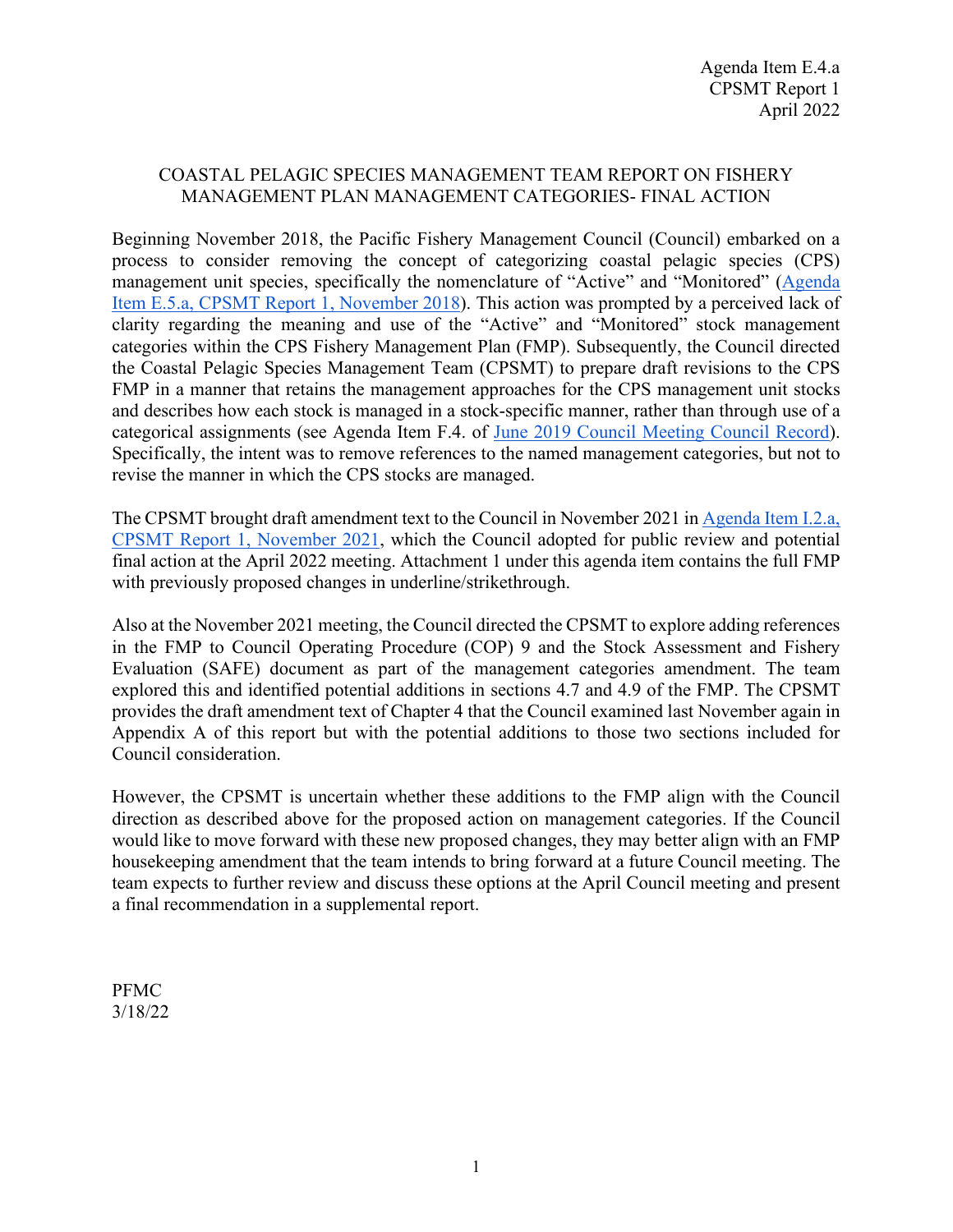# COASTAL PELAGIC SPECIES MANAGEMENT TEAM REPORT ON FISHERY MANAGEMENT PLAN MANAGEMENT CATEGORIES- FINAL ACTION

Beginning November 2018, the Pacific Fishery Management Council (Council) embarked on a process to consider removing the concept of categorizing coastal pelagic species (CPS) management unit species, specifically the nomenclature of "Active" and "Monitored" [\(Agenda](https://www.pcouncil.org/documents/2018/11/agenda-item-e-5-a-cpsmt-report-1.pdf/)  [Item E.5.a, CPSMT Report 1, November 2018\)](https://www.pcouncil.org/documents/2018/11/agenda-item-e-5-a-cpsmt-report-1.pdf/). This action was prompted by a perceived lack of clarity regarding the meaning and use of the "Active" and "Monitored" stock management categories within the CPS Fishery Management Plan (FMP). Subsequently, the Council directed the Coastal Pelagic Species Management Team (CPSMT) to prepare draft revisions to the CPS FMP in a manner that retains the management approaches for the CPS management unit stocks and describes how each stock is managed in a stock-specific manner, rather than through use of a categorical assignments (see Agenda Item F.4. of [June 2019 Council Meeting Council Record\)](https://www.pcouncil.org/documents/2019/06/june-2019-meeting-record.pdf/#page=23). Specifically, the intent was to remove references to the named management categories, but not to revise the manner in which the CPS stocks are managed.

The CPSMT brought draft amendment text to the Council in November 2021 i[n Agenda Item I.2.a,](https://www.pcouncil.org/documents/2021/11/i-2-a-cpsmt-report-1.pdf/)  [CPSMT Report 1, November 2021,](https://www.pcouncil.org/documents/2021/11/i-2-a-cpsmt-report-1.pdf/) which the Council adopted for public review and potential final action at the April 2022 meeting. Attachment 1 under this agenda item contains the full FMP with previously proposed changes in underline/strikethrough.

Also at the November 2021 meeting, the Council directed the CPSMT to explore adding references in the FMP to Council Operating Procedure (COP) 9 and the Stock Assessment and Fishery Evaluation (SAFE) document as part of the management categories amendment. The team explored this and identified potential additions in sections 4.7 and 4.9 of the FMP. The CPSMT provides the draft amendment text of Chapter 4 that the Council examined last November again in Appendix A of this report but with the potential additions to those two sections included for Council consideration.

However, the CPSMT is uncertain whether these additions to the FMP align with the Council direction as described above for the proposed action on management categories. If the Council would like to move forward with these new proposed changes, they may better align with an FMP housekeeping amendment that the team intends to bring forward at a future Council meeting. The team expects to further review and discuss these options at the April Council meeting and present a final recommendation in a supplemental report.

PFMC 3/18/22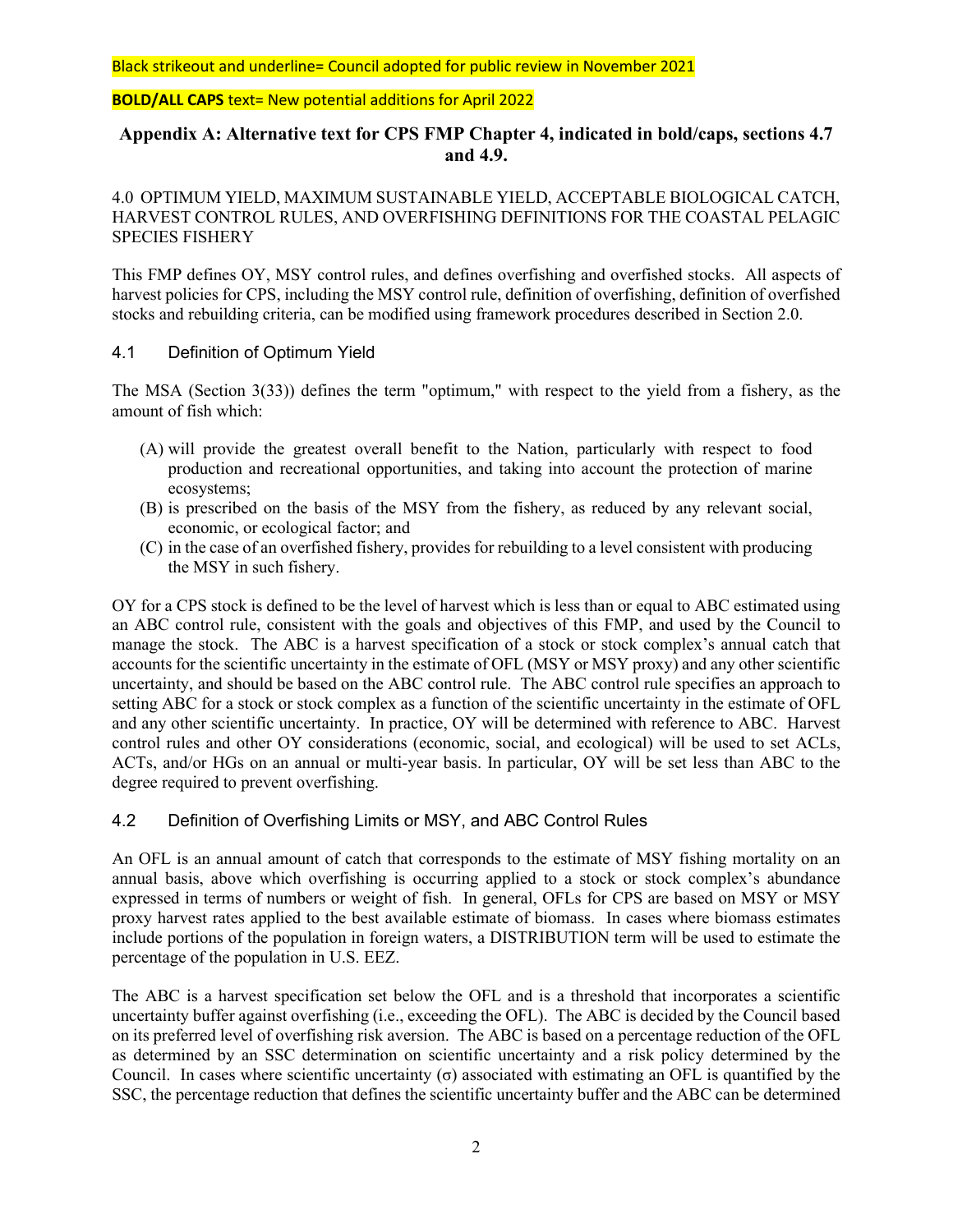**BOLD/ALL CAPS** text= New potential additions for April 2022

# **Appendix A: Alternative text for CPS FMP Chapter 4, indicated in bold/caps, sections 4.7 and 4.9.**

4.0 OPTIMUM YIELD, MAXIMUM SUSTAINABLE YIELD, ACCEPTABLE BIOLOGICAL CATCH, HARVEST CONTROL RULES, AND OVERFISHING DEFINITIONS FOR THE COASTAL PELAGIC SPECIES FISHERY

This FMP defines OY, MSY control rules, and defines overfishing and overfished stocks. All aspects of harvest policies for CPS, including the MSY control rule, definition of overfishing, definition of overfished stocks and rebuilding criteria, can be modified using framework procedures described in Section 2.0.

### 4.1 Definition of Optimum Yield

The MSA (Section 3(33)) defines the term "optimum," with respect to the yield from a fishery, as the amount of fish which:

- (A) will provide the greatest overall benefit to the Nation, particularly with respect to food production and recreational opportunities, and taking into account the protection of marine ecosystems;
- (B) is prescribed on the basis of the MSY from the fishery, as reduced by any relevant social, economic, or ecological factor; and
- (C) in the case of an overfished fishery, provides for rebuilding to a level consistent with producing the MSY in such fishery.

OY for a CPS stock is defined to be the level of harvest which is less than or equal to ABC estimated using an ABC control rule, consistent with the goals and objectives of this FMP, and used by the Council to manage the stock. The ABC is a harvest specification of a stock or stock complex's annual catch that accounts for the scientific uncertainty in the estimate of OFL (MSY or MSY proxy) and any other scientific uncertainty, and should be based on the ABC control rule. The ABC control rule specifies an approach to setting ABC for a stock or stock complex as a function of the scientific uncertainty in the estimate of OFL and any other scientific uncertainty. In practice, OY will be determined with reference to ABC. Harvest control rules and other OY considerations (economic, social, and ecological) will be used to set ACLs, ACTs, and/or HGs on an annual or multi-year basis. In particular, OY will be set less than ABC to the degree required to prevent overfishing.

### 4.2 Definition of Overfishing Limits or MSY, and ABC Control Rules

An OFL is an annual amount of catch that corresponds to the estimate of MSY fishing mortality on an annual basis, above which overfishing is occurring applied to a stock or stock complex's abundance expressed in terms of numbers or weight of fish. In general, OFLs for CPS are based on MSY or MSY proxy harvest rates applied to the best available estimate of biomass. In cases where biomass estimates include portions of the population in foreign waters, a DISTRIBUTION term will be used to estimate the percentage of the population in U.S. EEZ.

The ABC is a harvest specification set below the OFL and is a threshold that incorporates a scientific uncertainty buffer against overfishing (i.e., exceeding the OFL). The ABC is decided by the Council based on its preferred level of overfishing risk aversion. The ABC is based on a percentage reduction of the OFL as determined by an SSC determination on scientific uncertainty and a risk policy determined by the Council. In cases where scientific uncertainty (σ) associated with estimating an OFL is quantified by the SSC, the percentage reduction that defines the scientific uncertainty buffer and the ABC can be determined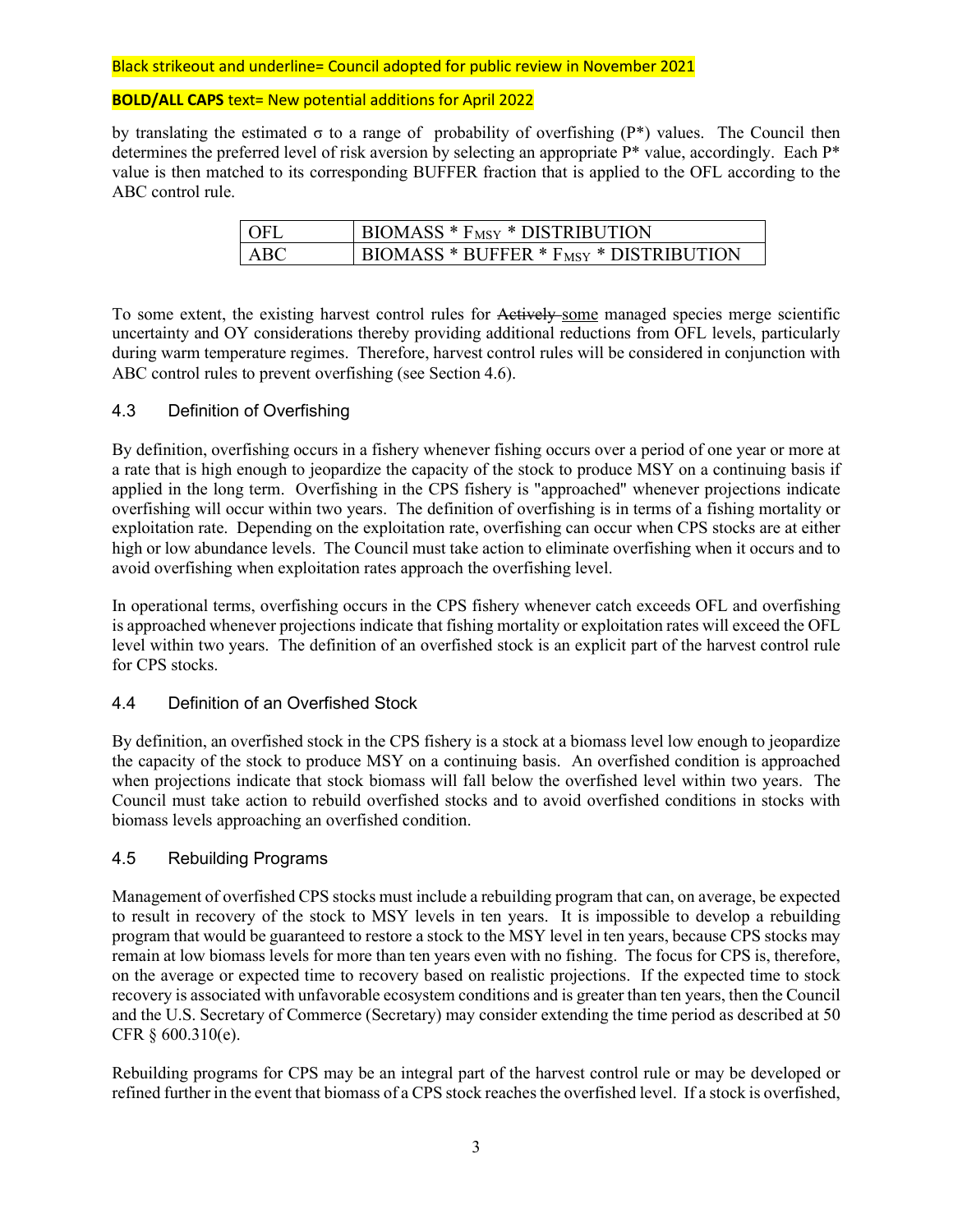#### **BOLD/ALL CAPS** text= New potential additions for April 2022

by translating the estimated σ to a range of probability of overfishing (P\*) values. The Council then determines the preferred level of risk aversion by selecting an appropriate P\* value, accordingly. Each P\* value is then matched to its corresponding BUFFER fraction that is applied to the OFL according to the ABC control rule.

| l OFL | BIOMASS $*$ $F_{MSY}$ $*$ DISTRIBUTION             |
|-------|----------------------------------------------------|
| ABC   | BIOMASS * BUFFER * F <sub>MSY</sub> * DISTRIBUTION |

To some extent, the existing harvest control rules for Actively some managed species merge scientific uncertainty and OY considerations thereby providing additional reductions from OFL levels, particularly during warm temperature regimes. Therefore, harvest control rules will be considered in conjunction with ABC control rules to prevent overfishing (see Section 4.6).

### 4.3 Definition of Overfishing

By definition, overfishing occurs in a fishery whenever fishing occurs over a period of one year or more at a rate that is high enough to jeopardize the capacity of the stock to produce MSY on a continuing basis if applied in the long term. Overfishing in the CPS fishery is "approached" whenever projections indicate overfishing will occur within two years. The definition of overfishing is in terms of a fishing mortality or exploitation rate. Depending on the exploitation rate, overfishing can occur when CPS stocks are at either high or low abundance levels. The Council must take action to eliminate overfishing when it occurs and to avoid overfishing when exploitation rates approach the overfishing level.

In operational terms, overfishing occurs in the CPS fishery whenever catch exceeds OFL and overfishing is approached whenever projections indicate that fishing mortality or exploitation rates will exceed the OFL level within two years. The definition of an overfished stock is an explicit part of the harvest control rule for CPS stocks.

### 4.4 Definition of an Overfished Stock

By definition, an overfished stock in the CPS fishery is a stock at a biomass level low enough to jeopardize the capacity of the stock to produce MSY on a continuing basis. An overfished condition is approached when projections indicate that stock biomass will fall below the overfished level within two years. The Council must take action to rebuild overfished stocks and to avoid overfished conditions in stocks with biomass levels approaching an overfished condition.

### 4.5 Rebuilding Programs

Management of overfished CPS stocks must include a rebuilding program that can, on average, be expected to result in recovery of the stock to MSY levels in ten years. It is impossible to develop a rebuilding program that would be guaranteed to restore a stock to the MSY level in ten years, because CPS stocks may remain at low biomass levels for more than ten years even with no fishing. The focus for CPS is, therefore, on the average or expected time to recovery based on realistic projections. If the expected time to stock recovery is associated with unfavorable ecosystem conditions and is greater than ten years, then the Council and the U.S. Secretary of Commerce (Secretary) may consider extending the time period as described at 50 CFR § 600.310(e).

Rebuilding programs for CPS may be an integral part of the harvest control rule or may be developed or refined further in the event that biomass of a CPS stock reaches the overfished level. If a stock is overfished,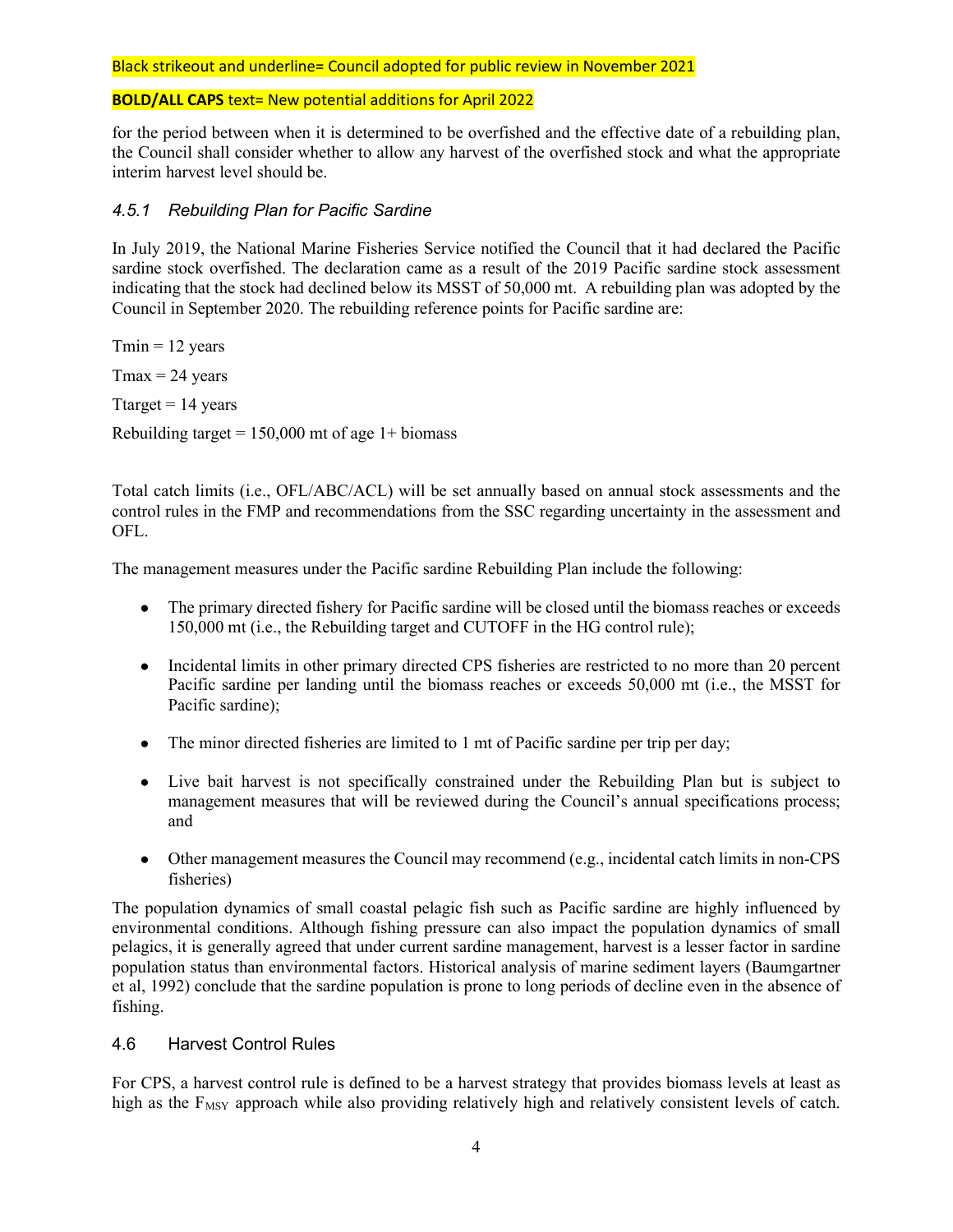### **BOLD/ALL CAPS** text= New potential additions for April 2022

for the period between when it is determined to be overfished and the effective date of a rebuilding plan, the Council shall consider whether to allow any harvest of the overfished stock and what the appropriate interim harvest level should be.

### *4.5.1 Rebuilding Plan for Pacific Sardine*

In July 2019, the National Marine Fisheries Service notified the Council that it had declared the Pacific sardine stock overfished. The declaration came as a result of the 2019 Pacific sardine stock assessment indicating that the stock had declined below its MSST of 50,000 mt. A rebuilding plan was adopted by the Council in September 2020. The rebuilding reference points for Pacific sardine are:

 $Tmin = 12$  years  $T$ max = 24 years Ttarget  $= 14$  years Rebuilding target =  $150,000$  mt of age 1+ biomass

Total catch limits (i.e., OFL/ABC/ACL) will be set annually based on annual stock assessments and the control rules in the FMP and recommendations from the SSC regarding uncertainty in the assessment and OFL.

The management measures under the Pacific sardine Rebuilding Plan include the following:

- The primary directed fishery for Pacific sardine will be closed until the biomass reaches or exceeds 150,000 mt (i.e., the Rebuilding target and CUTOFF in the HG control rule);
- Incidental limits in other primary directed CPS fisheries are restricted to no more than 20 percent Pacific sardine per landing until the biomass reaches or exceeds 50,000 mt (i.e., the MSST for Pacific sardine);
- The minor directed fisheries are limited to 1 mt of Pacific sardine per trip per day;
- Live bait harvest is not specifically constrained under the Rebuilding Plan but is subject to management measures that will be reviewed during the Council's annual specifications process; and
- Other management measures the Council may recommend (e.g., incidental catch limits in non-CPS fisheries)

The population dynamics of small coastal pelagic fish such as Pacific sardine are highly influenced by environmental conditions. Although fishing pressure can also impact the population dynamics of small pelagics, it is generally agreed that under current sardine management, harvest is a lesser factor in sardine population status than environmental factors. Historical analysis of marine sediment layers (Baumgartner et al, 1992) conclude that the sardine population is prone to long periods of decline even in the absence of fishing.

### 4.6 Harvest Control Rules

For CPS, a harvest control rule is defined to be a harvest strategy that provides biomass levels at least as high as the  $F_{MSY}$  approach while also providing relatively high and relatively consistent levels of catch.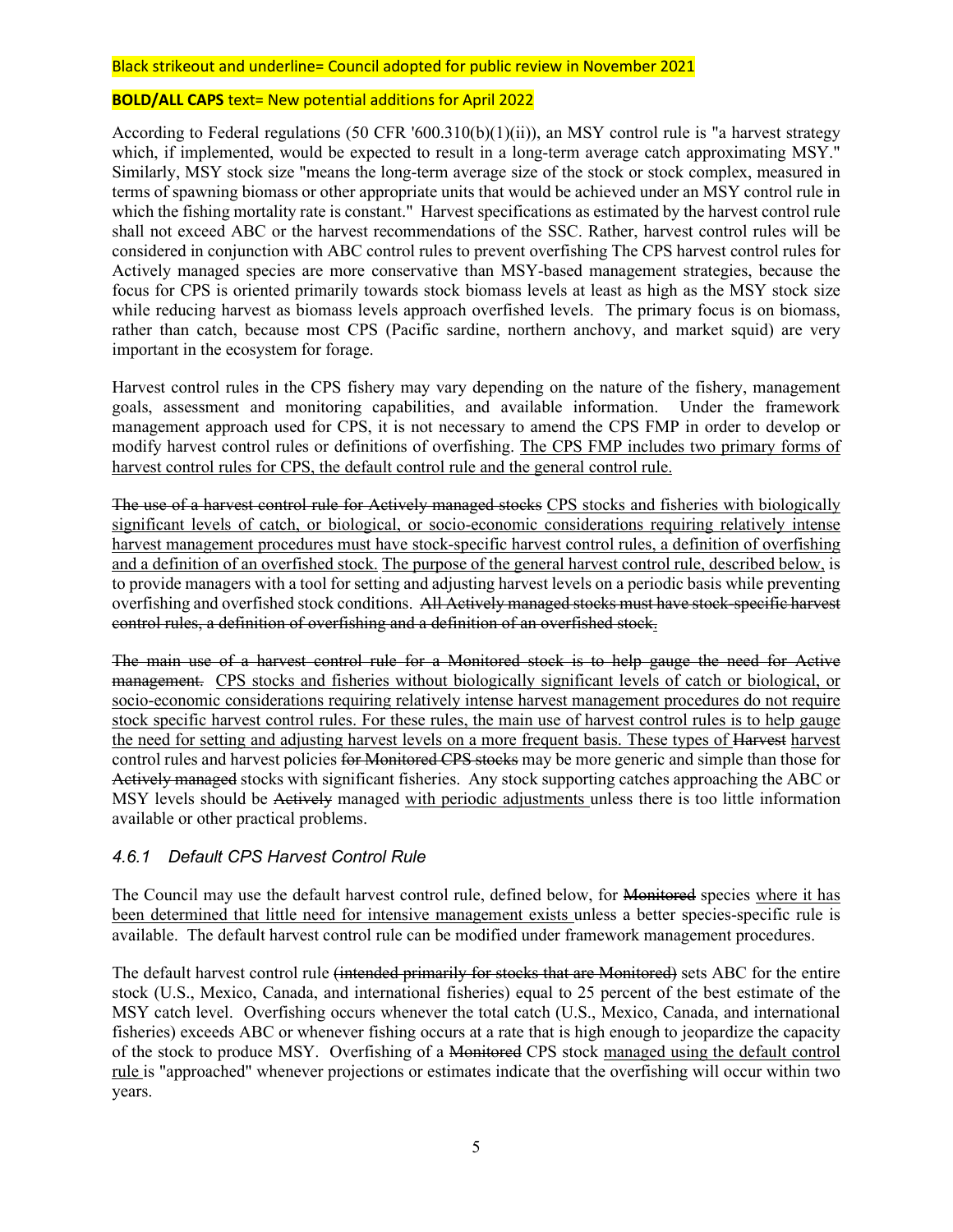#### **BOLD/ALL CAPS** text= New potential additions for April 2022

According to Federal regulations (50 CFR '600.310(b)(1)(ii)), an MSY control rule is "a harvest strategy which, if implemented, would be expected to result in a long-term average catch approximating MSY." Similarly, MSY stock size "means the long-term average size of the stock or stock complex, measured in terms of spawning biomass or other appropriate units that would be achieved under an MSY control rule in which the fishing mortality rate is constant." Harvest specifications as estimated by the harvest control rule shall not exceed ABC or the harvest recommendations of the SSC. Rather, harvest control rules will be considered in conjunction with ABC control rules to prevent overfishing The CPS harvest control rules for Actively managed species are more conservative than MSY-based management strategies, because the focus for CPS is oriented primarily towards stock biomass levels at least as high as the MSY stock size while reducing harvest as biomass levels approach overfished levels. The primary focus is on biomass, rather than catch, because most CPS (Pacific sardine, northern anchovy, and market squid) are very important in the ecosystem for forage.

Harvest control rules in the CPS fishery may vary depending on the nature of the fishery, management goals, assessment and monitoring capabilities, and available information. Under the framework management approach used for CPS, it is not necessary to amend the CPS FMP in order to develop or modify harvest control rules or definitions of overfishing. The CPS FMP includes two primary forms of harvest control rules for CPS, the default control rule and the general control rule.

The use of a harvest control rule for Actively managed stocks CPS stocks and fisheries with biologically significant levels of catch, or biological, or socio-economic considerations requiring relatively intense harvest management procedures must have stock-specific harvest control rules, a definition of overfishing and a definition of an overfished stock. The purpose of the general harvest control rule, described below, is to provide managers with a tool for setting and adjusting harvest levels on a periodic basis while preventing overfishing and overfished stock conditions. All Actively managed stocks must have stock-specific harvest control rules, a definition of overfishing and a definition of an overfished stock.

The main use of a harvest control rule for a Monitored stock is to help gauge the need for Active management. CPS stocks and fisheries without biologically significant levels of catch or biological, or socio-economic considerations requiring relatively intense harvest management procedures do not require stock specific harvest control rules. For these rules, the main use of harvest control rules is to help gauge the need for setting and adjusting harvest levels on a more frequent basis. These types of Harvest harvest control rules and harvest policies for Monitored CPS stocks may be more generic and simple than those for Actively managed stocks with significant fisheries. Any stock supporting catches approaching the ABC or MSY levels should be Actively managed with periodic adjustments unless there is too little information available or other practical problems.

### *4.6.1 Default CPS Harvest Control Rule*

The Council may use the default harvest control rule, defined below, for Monitored species where it has been determined that little need for intensive management exists unless a better species-specific rule is available. The default harvest control rule can be modified under framework management procedures.

The default harvest control rule (intended primarily for stocks that are Monitored) sets ABC for the entire stock (U.S., Mexico, Canada, and international fisheries) equal to 25 percent of the best estimate of the MSY catch level. Overfishing occurs whenever the total catch (U.S., Mexico, Canada, and international fisheries) exceeds ABC or whenever fishing occurs at a rate that is high enough to jeopardize the capacity of the stock to produce MSY. Overfishing of a Monitored CPS stock managed using the default control rule is "approached" whenever projections or estimates indicate that the overfishing will occur within two years.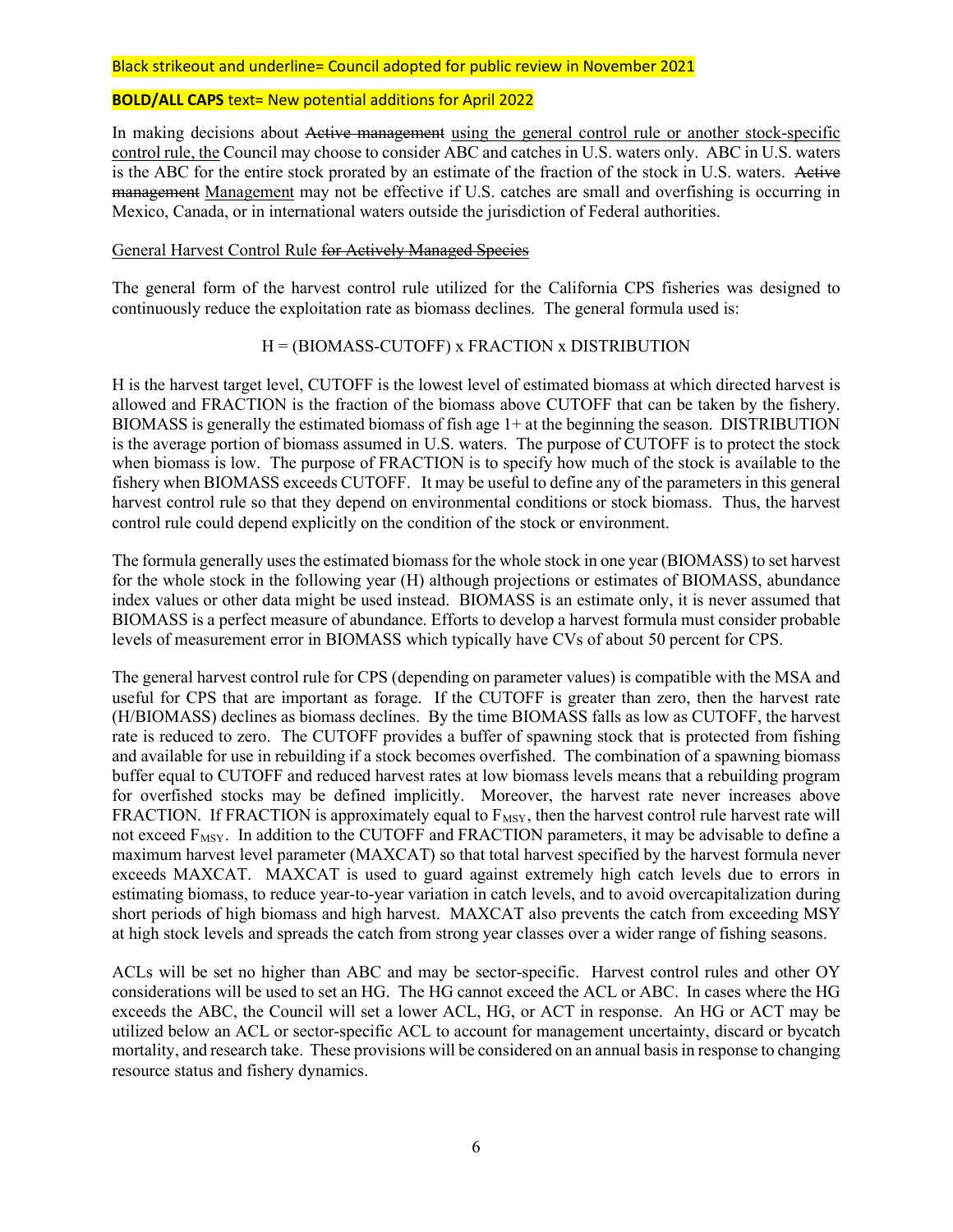#### **BOLD/ALL CAPS** text= New potential additions for April 2022

In making decisions about Active management using the general control rule or another stock-specific control rule, the Council may choose to consider ABC and catches in U.S. waters only. ABC in U.S. waters is the ABC for the entire stock prorated by an estimate of the fraction of the stock in U.S. waters. Active management Management may not be effective if U.S. catches are small and overfishing is occurring in Mexico, Canada, or in international waters outside the jurisdiction of Federal authorities.

#### General Harvest Control Rule for Actively Managed Species

The general form of the harvest control rule utilized for the California CPS fisheries was designed to continuously reduce the exploitation rate as biomass declines. The general formula used is:

#### H = (BIOMASS-CUTOFF) x FRACTION x DISTRIBUTION

H is the harvest target level, CUTOFF is the lowest level of estimated biomass at which directed harvest is allowed and FRACTION is the fraction of the biomass above CUTOFF that can be taken by the fishery. BIOMASS is generally the estimated biomass of fish age 1+ at the beginning the season. DISTRIBUTION is the average portion of biomass assumed in U.S. waters. The purpose of CUTOFF is to protect the stock when biomass is low. The purpose of FRACTION is to specify how much of the stock is available to the fishery when BIOMASS exceeds CUTOFF. It may be useful to define any of the parameters in this general harvest control rule so that they depend on environmental conditions or stock biomass. Thus, the harvest control rule could depend explicitly on the condition of the stock or environment.

The formula generally uses the estimated biomass for the whole stock in one year (BIOMASS) to set harvest for the whole stock in the following year (H) although projections or estimates of BIOMASS, abundance index values or other data might be used instead. BIOMASS is an estimate only, it is never assumed that BIOMASS is a perfect measure of abundance. Efforts to develop a harvest formula must consider probable levels of measurement error in BIOMASS which typically have CVs of about 50 percent for CPS.

The general harvest control rule for CPS (depending on parameter values) is compatible with the MSA and useful for CPS that are important as forage. If the CUTOFF is greater than zero, then the harvest rate (H/BIOMASS) declines as biomass declines. By the time BIOMASS falls as low as CUTOFF, the harvest rate is reduced to zero. The CUTOFF provides a buffer of spawning stock that is protected from fishing and available for use in rebuilding if a stock becomes overfished. The combination of a spawning biomass buffer equal to CUTOFF and reduced harvest rates at low biomass levels means that a rebuilding program for overfished stocks may be defined implicitly. Moreover, the harvest rate never increases above FRACTION. If FRACTION is approximately equal to  $F_{MSY}$ , then the harvest control rule harvest rate will not exceed  $F_{MSY}$ . In addition to the CUTOFF and FRACTION parameters, it may be advisable to define a maximum harvest level parameter (MAXCAT) so that total harvest specified by the harvest formula never exceeds MAXCAT. MAXCAT is used to guard against extremely high catch levels due to errors in estimating biomass, to reduce year-to-year variation in catch levels, and to avoid overcapitalization during short periods of high biomass and high harvest. MAXCAT also prevents the catch from exceeding MSY at high stock levels and spreads the catch from strong year classes over a wider range of fishing seasons.

ACLs will be set no higher than ABC and may be sector-specific. Harvest control rules and other OY considerations will be used to set an HG. The HG cannot exceed the ACL or ABC. In cases where the HG exceeds the ABC, the Council will set a lower ACL, HG, or ACT in response. An HG or ACT may be utilized below an ACL or sector-specific ACL to account for management uncertainty, discard or bycatch mortality, and research take. These provisions will be considered on an annual basis in response to changing resource status and fishery dynamics.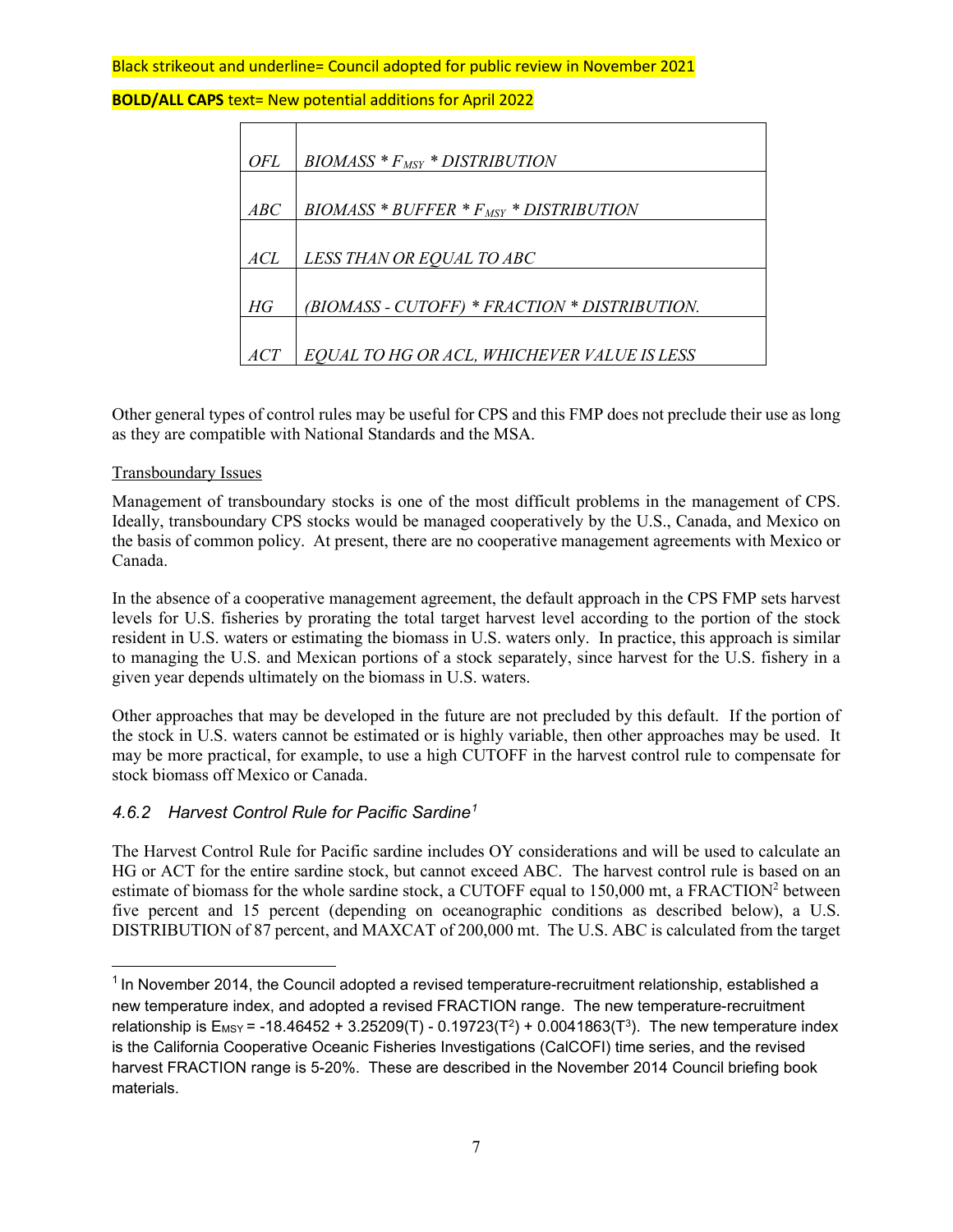**BOLD/ALL CAPS** text= New potential additions for April 2022

| OFL | $BIOMASS * F_{MSY} * DISTRIBUTION$            |
|-----|-----------------------------------------------|
|     |                                               |
|     |                                               |
| ABC | $BIOMASS * BUFFER * FMSY * DISTRIBUTION$      |
|     |                                               |
| ACL | LESS THAN OR EQUAL TO ABC                     |
|     |                                               |
| HG  | (BIOMASS - CUTOFF) * FRACTION * DISTRIBUTION. |
| ACT | EQUAL TO HG OR ACL, WHICHEVER VALUE IS LESS   |

Other general types of control rules may be useful for CPS and this FMP does not preclude their use as long as they are compatible with National Standards and the MSA.

### Transboundary Issues

Management of transboundary stocks is one of the most difficult problems in the management of CPS. Ideally, transboundary CPS stocks would be managed cooperatively by the U.S., Canada, and Mexico on the basis of common policy. At present, there are no cooperative management agreements with Mexico or Canada.

In the absence of a cooperative management agreement, the default approach in the CPS FMP sets harvest levels for U.S. fisheries by prorating the total target harvest level according to the portion of the stock resident in U.S. waters or estimating the biomass in U.S. waters only. In practice, this approach is similar to managing the U.S. and Mexican portions of a stock separately, since harvest for the U.S. fishery in a given year depends ultimately on the biomass in U.S. waters.

Other approaches that may be developed in the future are not precluded by this default. If the portion of the stock in U.S. waters cannot be estimated or is highly variable, then other approaches may be used. It may be more practical, for example, to use a high CUTOFF in the harvest control rule to compensate for stock biomass off Mexico or Canada.

## *4.6.2 Harvest Control Rule for Pacific Sardine[1](#page-6-0)*

The Harvest Control Rule for Pacific sardine includes OY considerations and will be used to calculate an HG or ACT for the entire sardine stock, but cannot exceed ABC. The harvest control rule is based on an estimate of biomass for the whole sardine stock, a CUTOFF equal to 150,000 mt, a FRACTION<sup>2</sup> between five percent and 15 percent (depending on oceanographic conditions as described below), a U.S. DISTRIBUTION of 87 percent, and MAXCAT of 200,000 mt. The U.S. ABC is calculated from the target

<span id="page-6-0"></span> $1$  In November 2014, the Council adopted a revised temperature-recruitment relationship, established a new temperature index, and adopted a revised FRACTION range. The new temperature-recruitment relationship is  $E_{MSY}$  = -18.46452 + 3.25209(T) - 0.19723(T<sup>2</sup>) + 0.0041863(T<sup>3</sup>). The new temperature index is the California Cooperative Oceanic Fisheries Investigations (CalCOFI) time series, and the revised harvest FRACTION range is 5-20%. These are described in the November 2014 Council briefing book materials.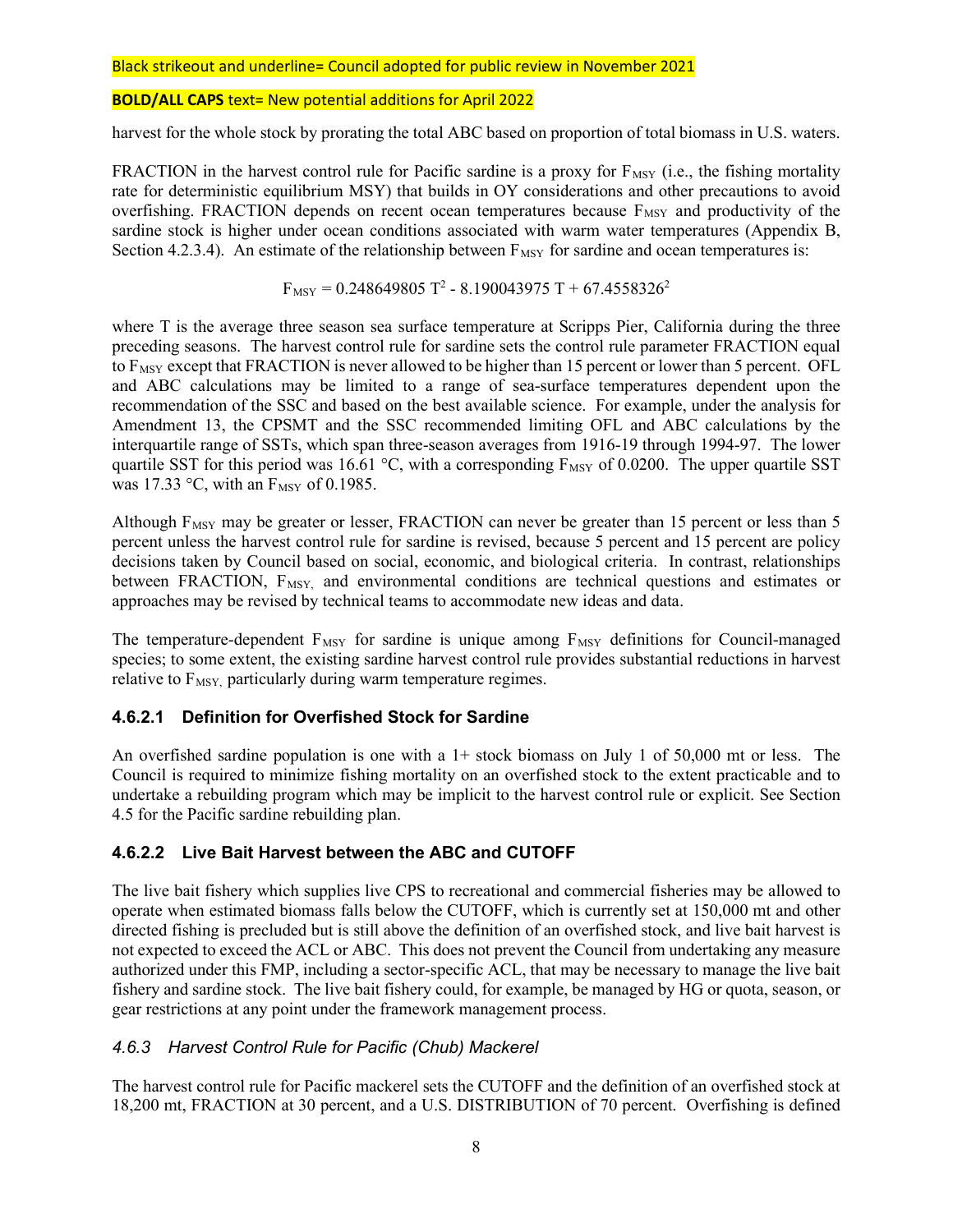### **BOLD/ALL CAPS** text= New potential additions for April 2022

harvest for the whole stock by prorating the total ABC based on proportion of total biomass in U.S. waters.

FRACTION in the harvest control rule for Pacific sardine is a proxy for  $F_{MSY}$  (i.e., the fishing mortality rate for deterministic equilibrium MSY) that builds in OY considerations and other precautions to avoid overfishing. FRACTION depends on recent ocean temperatures because  $F_{MSY}$  and productivity of the sardine stock is higher under ocean conditions associated with warm water temperatures (Appendix B, Section 4.2.3.4). An estimate of the relationship between  $F_{MSY}$  for sardine and ocean temperatures is:

 $F_{\text{MSY}} = 0.248649805 T^2 - 8.190043975 T + 67.4558326^2$ 

where T is the average three season sea surface temperature at Scripps Pier, California during the three preceding seasons. The harvest control rule for sardine sets the control rule parameter FRACTION equal to  $F_{MSY}$  except that FRACTION is never allowed to be higher than 15 percent or lower than 5 percent. OFL and ABC calculations may be limited to a range of sea-surface temperatures dependent upon the recommendation of the SSC and based on the best available science. For example, under the analysis for Amendment 13, the CPSMT and the SSC recommended limiting OFL and ABC calculations by the interquartile range of SSTs, which span three-season averages from 1916-19 through 1994-97. The lower quartile SST for this period was 16.61 °C, with a corresponding  $F_{MSY}$  of 0.0200. The upper quartile SST was 17.33  $\degree$ C, with an F<sub>MSY</sub> of 0.1985.

Although  $F_{MSY}$  may be greater or lesser, FRACTION can never be greater than 15 percent or less than 5 percent unless the harvest control rule for sardine is revised, because 5 percent and 15 percent are policy decisions taken by Council based on social, economic, and biological criteria. In contrast, relationships between FRACTION, F<sub>MSY</sub>, and environmental conditions are technical questions and estimates or approaches may be revised by technical teams to accommodate new ideas and data.

The temperature-dependent F<sub>MSY</sub> for sardine is unique among F<sub>MSY</sub> definitions for Council-managed species; to some extent, the existing sardine harvest control rule provides substantial reductions in harvest relative to  $F_{MSY}$ , particularly during warm temperature regimes.

## **4.6.2.1 Definition for Overfished Stock for Sardine**

An overfished sardine population is one with a  $1+$  stock biomass on July 1 of 50,000 mt or less. The Council is required to minimize fishing mortality on an overfished stock to the extent practicable and to undertake a rebuilding program which may be implicit to the harvest control rule or explicit. See Section 4.5 for the Pacific sardine rebuilding plan.

## **4.6.2.2 Live Bait Harvest between the ABC and CUTOFF**

The live bait fishery which supplies live CPS to recreational and commercial fisheries may be allowed to operate when estimated biomass falls below the CUTOFF, which is currently set at 150,000 mt and other directed fishing is precluded but is still above the definition of an overfished stock, and live bait harvest is not expected to exceed the ACL or ABC. This does not prevent the Council from undertaking any measure authorized under this FMP, including a sector-specific ACL, that may be necessary to manage the live bait fishery and sardine stock. The live bait fishery could, for example, be managed by HG or quota, season, or gear restrictions at any point under the framework management process.

## *4.6.3 Harvest Control Rule for Pacific (Chub) Mackerel*

The harvest control rule for Pacific mackerel sets the CUTOFF and the definition of an overfished stock at 18,200 mt, FRACTION at 30 percent, and a U.S. DISTRIBUTION of 70 percent. Overfishing is defined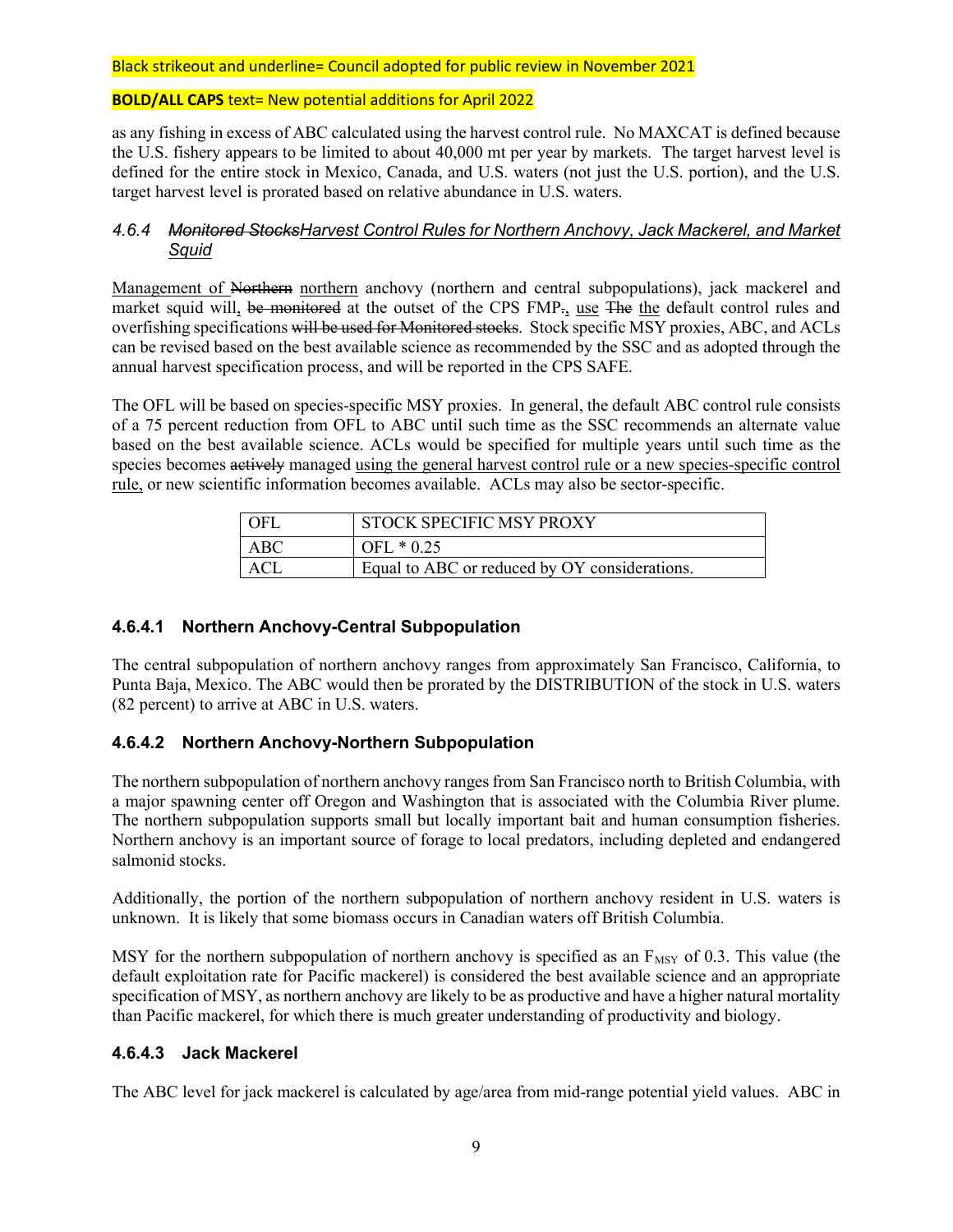### **BOLD/ALL CAPS** text= New potential additions for April 2022

as any fishing in excess of ABC calculated using the harvest control rule. No MAXCAT is defined because the U.S. fishery appears to be limited to about 40,000 mt per year by markets. The target harvest level is defined for the entire stock in Mexico, Canada, and U.S. waters (not just the U.S. portion), and the U.S. target harvest level is prorated based on relative abundance in U.S. waters.

## *4.6.4 Monitored StocksHarvest Control Rules for Northern Anchovy, Jack Mackerel, and Market Squid*

Management of Northern northern anchovy (northern and central subpopulations), jack mackerel and market squid will, be monitored at the outset of the CPS FMP., use The the default control rules and overfishing specifications will be used for Monitored stocks. Stock specific MSY proxies, ABC, and ACLs can be revised based on the best available science as recommended by the SSC and as adopted through the annual harvest specification process, and will be reported in the CPS SAFE.

The OFL will be based on species-specific MSY proxies. In general, the default ABC control rule consists of a 75 percent reduction from OFL to ABC until such time as the SSC recommends an alternate value based on the best available science. ACLs would be specified for multiple years until such time as the species becomes actively managed using the general harvest control rule or a new species-specific control rule, or new scientific information becomes available. ACLs may also be sector-specific.

| OFI | STOCK SPECIFIC MSY PROXY                      |
|-----|-----------------------------------------------|
| ABC | OFL $* 0.25$                                  |
| ACI | Equal to ABC or reduced by OY considerations. |

## **4.6.4.1 Northern Anchovy-Central Subpopulation**

The central subpopulation of northern anchovy ranges from approximately San Francisco, California, to Punta Baja, Mexico. The ABC would then be prorated by the DISTRIBUTION of the stock in U.S. waters (82 percent) to arrive at ABC in U.S. waters.

## **4.6.4.2 Northern Anchovy-Northern Subpopulation**

The northern subpopulation of northern anchovy ranges from San Francisco north to British Columbia, with a major spawning center off Oregon and Washington that is associated with the Columbia River plume. The northern subpopulation supports small but locally important bait and human consumption fisheries. Northern anchovy is an important source of forage to local predators, including depleted and endangered salmonid stocks.

Additionally, the portion of the northern subpopulation of northern anchovy resident in U.S. waters is unknown. It is likely that some biomass occurs in Canadian waters off British Columbia.

MSY for the northern subpopulation of northern anchovy is specified as an  $F_{MSY}$  of 0.3. This value (the default exploitation rate for Pacific mackerel) is considered the best available science and an appropriate specification of MSY, as northern anchovy are likely to be as productive and have a higher natural mortality than Pacific mackerel, for which there is much greater understanding of productivity and biology.

## **4.6.4.3 Jack Mackerel**

The ABC level for jack mackerel is calculated by age/area from mid-range potential yield values. ABC in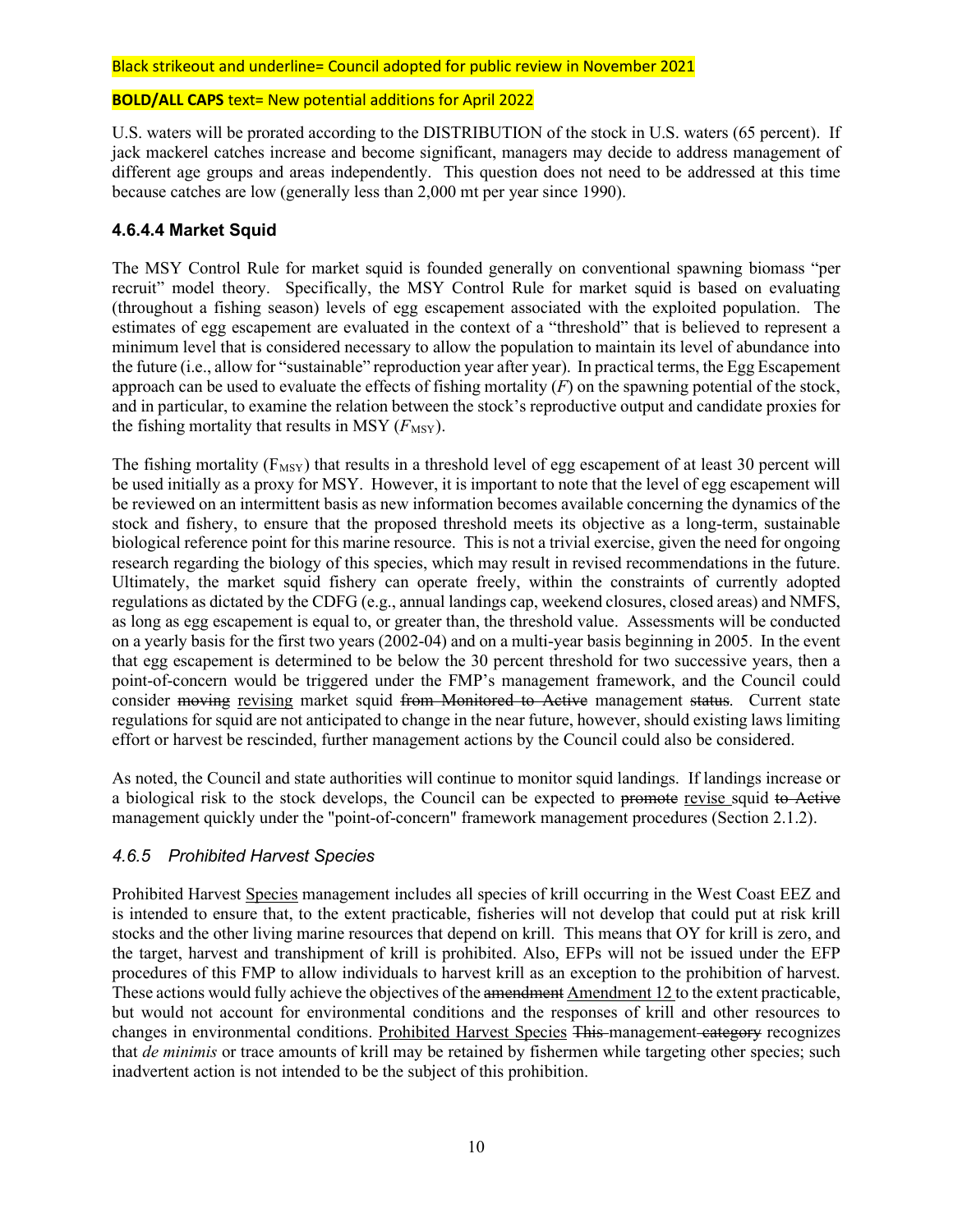#### **BOLD/ALL CAPS** text= New potential additions for April 2022

U.S. waters will be prorated according to the DISTRIBUTION of the stock in U.S. waters (65 percent). If jack mackerel catches increase and become significant, managers may decide to address management of different age groups and areas independently. This question does not need to be addressed at this time because catches are low (generally less than 2,000 mt per year since 1990).

## **4.6.4.4 Market Squid**

The MSY Control Rule for market squid is founded generally on conventional spawning biomass "per recruit" model theory. Specifically, the MSY Control Rule for market squid is based on evaluating (throughout a fishing season) levels of egg escapement associated with the exploited population. The estimates of egg escapement are evaluated in the context of a "threshold" that is believed to represent a minimum level that is considered necessary to allow the population to maintain its level of abundance into the future (i.e., allow for "sustainable" reproduction year after year). In practical terms, the Egg Escapement approach can be used to evaluate the effects of fishing mortality (*F*) on the spawning potential of the stock, and in particular, to examine the relation between the stock's reproductive output and candidate proxies for the fishing mortality that results in MSY  $(F_{\text{MSY}})$ .

The fishing mortality ( $F_{MSY}$ ) that results in a threshold level of egg escapement of at least 30 percent will be used initially as a proxy for MSY. However, it is important to note that the level of egg escapement will be reviewed on an intermittent basis as new information becomes available concerning the dynamics of the stock and fishery, to ensure that the proposed threshold meets its objective as a long-term, sustainable biological reference point for this marine resource. This is not a trivial exercise, given the need for ongoing research regarding the biology of this species, which may result in revised recommendations in the future. Ultimately, the market squid fishery can operate freely, within the constraints of currently adopted regulations as dictated by the CDFG (e.g., annual landings cap, weekend closures, closed areas) and NMFS, as long as egg escapement is equal to, or greater than, the threshold value. Assessments will be conducted on a yearly basis for the first two years (2002-04) and on a multi-year basis beginning in 2005. In the event that egg escapement is determined to be below the 30 percent threshold for two successive years, then a point-of-concern would be triggered under the FMP's management framework, and the Council could consider moving revising market squid from Monitored to Active management status. Current state regulations for squid are not anticipated to change in the near future, however, should existing laws limiting effort or harvest be rescinded, further management actions by the Council could also be considered.

As noted, the Council and state authorities will continue to monitor squid landings. If landings increase or a biological risk to the stock develops, the Council can be expected to promote revise squid to Active management quickly under the "point-of-concern" framework management procedures (Section 2.1.2).

## *4.6.5 Prohibited Harvest Species*

Prohibited Harvest Species management includes all species of krill occurring in the West Coast EEZ and is intended to ensure that, to the extent practicable, fisheries will not develop that could put at risk krill stocks and the other living marine resources that depend on krill. This means that OY for krill is zero, and the target, harvest and transhipment of krill is prohibited. Also, EFPs will not be issued under the EFP procedures of this FMP to allow individuals to harvest krill as an exception to the prohibition of harvest. These actions would fully achieve the objectives of the amendment Amendment 12 to the extent practicable, but would not account for environmental conditions and the responses of krill and other resources to changes in environmental conditions. Prohibited Harvest Species This management category recognizes that *de minimis* or trace amounts of krill may be retained by fishermen while targeting other species; such inadvertent action is not intended to be the subject of this prohibition.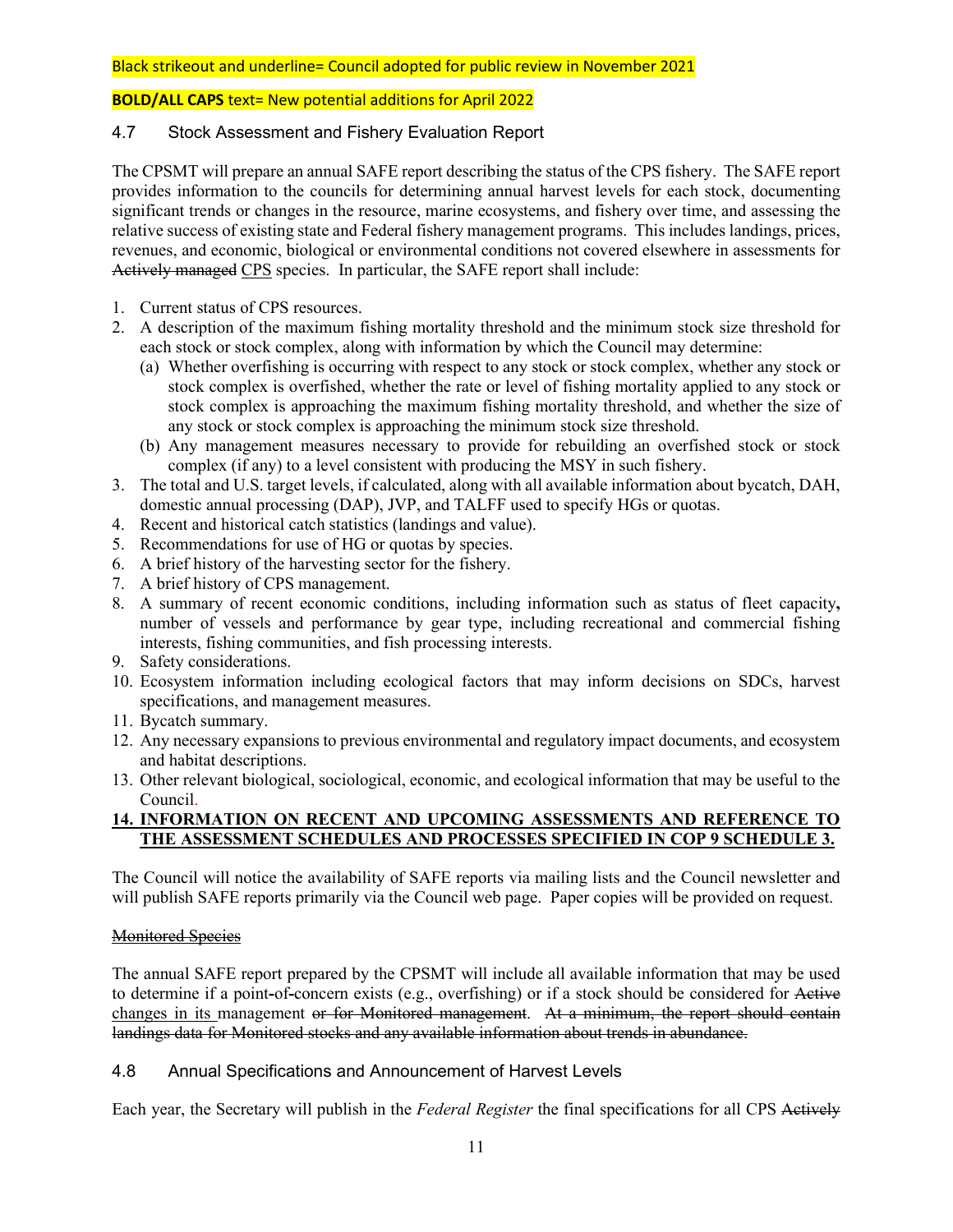## **BOLD/ALL CAPS** text= New potential additions for April 2022

## 4.7 Stock Assessment and Fishery Evaluation Report

The CPSMT will prepare an annual SAFE report describing the status of the CPS fishery. The SAFE report provides information to the councils for determining annual harvest levels for each stock, documenting significant trends or changes in the resource, marine ecosystems, and fishery over time, and assessing the relative success of existing state and Federal fishery management programs. This includes landings, prices, revenues, and economic, biological or environmental conditions not covered elsewhere in assessments for Actively managed CPS species. In particular, the SAFE report shall include:

- 1. Current status of CPS resources.
- 2. A description of the maximum fishing mortality threshold and the minimum stock size threshold for each stock or stock complex, along with information by which the Council may determine:
	- (a) Whether overfishing is occurring with respect to any stock or stock complex, whether any stock or stock complex is overfished, whether the rate or level of fishing mortality applied to any stock or stock complex is approaching the maximum fishing mortality threshold, and whether the size of any stock or stock complex is approaching the minimum stock size threshold.
	- (b) Any management measures necessary to provide for rebuilding an overfished stock or stock complex (if any) to a level consistent with producing the MSY in such fishery.
- 3. The total and U.S. target levels, if calculated, along with all available information about bycatch, DAH, domestic annual processing (DAP), JVP, and TALFF used to specify HGs or quotas.
- 4. Recent and historical catch statistics (landings and value).
- 5. Recommendations for use of HG or quotas by species.
- 6. A brief history of the harvesting sector for the fishery.
- 7. A brief history of CPS management.
- 8. A summary of recent economic conditions, including information such as status of fleet capacity**,** number of vessels and performance by gear type, including recreational and commercial fishing interests, fishing communities, and fish processing interests.
- 9. Safety considerations.
- 10. Ecosystem information including ecological factors that may inform decisions on SDCs, harvest specifications, and management measures.
- 11. Bycatch summary.
- 12. Any necessary expansions to previous environmental and regulatory impact documents, and ecosystem and habitat descriptions.
- 13. Other relevant biological, sociological, economic, and ecological information that may be useful to the Council.

### **14. INFORMATION ON RECENT AND UPCOMING ASSESSMENTS AND REFERENCE TO THE ASSESSMENT SCHEDULES AND PROCESSES SPECIFIED IN COP 9 SCHEDULE 3.**

The Council will notice the availability of SAFE reports via mailing lists and the Council newsletter and will publish SAFE reports primarily via the Council web page. Paper copies will be provided on request.

### Monitored Species

The annual SAFE report prepared by the CPSMT will include all available information that may be used to determine if a point**-**of**-**concern exists (e.g., overfishing) or if a stock should be considered for Active changes in its management or for Monitored management. At a minimum, the report should contain landings data for Monitored stocks and any available information about trends in abundance.

## 4.8 Annual Specifications and Announcement of Harvest Levels

Each year, the Secretary will publish in the *Federal Register* the final specifications for all CPS Actively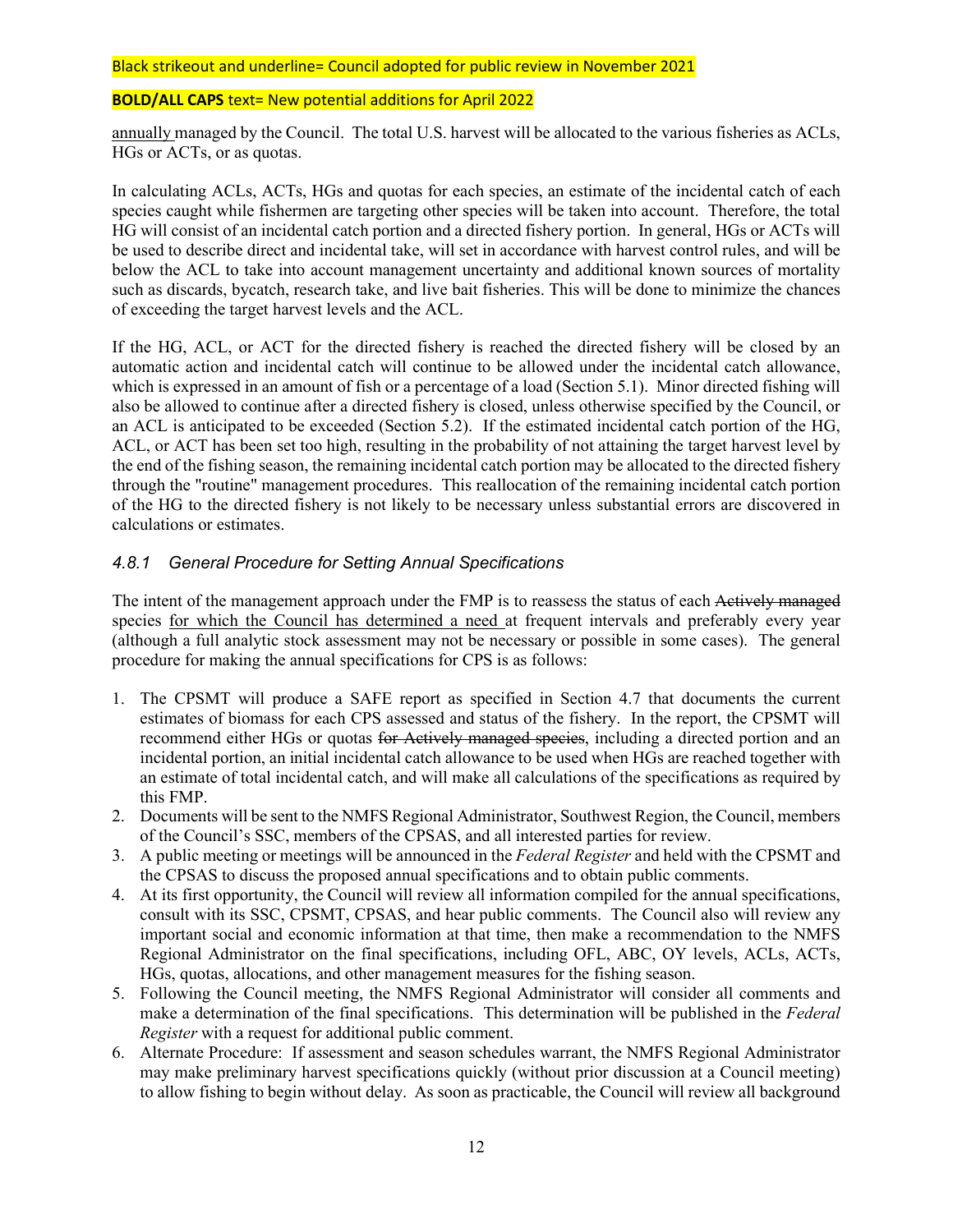#### **BOLD/ALL CAPS** text= New potential additions for April 2022

annually managed by the Council. The total U.S. harvest will be allocated to the various fisheries as ACLs, HGs or ACTs, or as quotas.

In calculating ACLs, ACTs, HGs and quotas for each species, an estimate of the incidental catch of each species caught while fishermen are targeting other species will be taken into account. Therefore, the total HG will consist of an incidental catch portion and a directed fishery portion. In general, HGs or ACTs will be used to describe direct and incidental take, will set in accordance with harvest control rules, and will be below the ACL to take into account management uncertainty and additional known sources of mortality such as discards, bycatch, research take, and live bait fisheries. This will be done to minimize the chances of exceeding the target harvest levels and the ACL.

If the HG, ACL, or ACT for the directed fishery is reached the directed fishery will be closed by an automatic action and incidental catch will continue to be allowed under the incidental catch allowance, which is expressed in an amount of fish or a percentage of a load (Section 5.1). Minor directed fishing will also be allowed to continue after a directed fishery is closed, unless otherwise specified by the Council, or an ACL is anticipated to be exceeded (Section 5.2). If the estimated incidental catch portion of the HG, ACL, or ACT has been set too high, resulting in the probability of not attaining the target harvest level by the end of the fishing season, the remaining incidental catch portion may be allocated to the directed fishery through the "routine" management procedures. This reallocation of the remaining incidental catch portion of the HG to the directed fishery is not likely to be necessary unless substantial errors are discovered in calculations or estimates.

### *4.8.1 General Procedure for Setting Annual Specifications*

The intent of the management approach under the FMP is to reassess the status of each Actively managed species for which the Council has determined a need at frequent intervals and preferably every year (although a full analytic stock assessment may not be necessary or possible in some cases). The general procedure for making the annual specifications for CPS is as follows:

- 1. The CPSMT will produce a SAFE report as specified in Section 4.7 that documents the current estimates of biomass for each CPS assessed and status of the fishery. In the report, the CPSMT will recommend either HGs or quotas for Actively managed species, including a directed portion and an incidental portion, an initial incidental catch allowance to be used when HGs are reached together with an estimate of total incidental catch, and will make all calculations of the specifications as required by this FMP.
- 2. Documents will be sent to the NMFS Regional Administrator, Southwest Region, the Council, members of the Council's SSC, members of the CPSAS, and all interested parties for review.
- 3. A public meeting or meetings will be announced in the *Federal Register* and held with the CPSMT and the CPSAS to discuss the proposed annual specifications and to obtain public comments.
- 4. At its first opportunity, the Council will review all information compiled for the annual specifications, consult with its SSC, CPSMT, CPSAS, and hear public comments. The Council also will review any important social and economic information at that time, then make a recommendation to the NMFS Regional Administrator on the final specifications, including OFL, ABC, OY levels, ACLs, ACTs, HGs, quotas, allocations, and other management measures for the fishing season.
- 5. Following the Council meeting, the NMFS Regional Administrator will consider all comments and make a determination of the final specifications. This determination will be published in the *Federal Register* with a request for additional public comment.
- 6. Alternate Procedure: If assessment and season schedules warrant, the NMFS Regional Administrator may make preliminary harvest specifications quickly (without prior discussion at a Council meeting) to allow fishing to begin without delay. As soon as practicable, the Council will review all background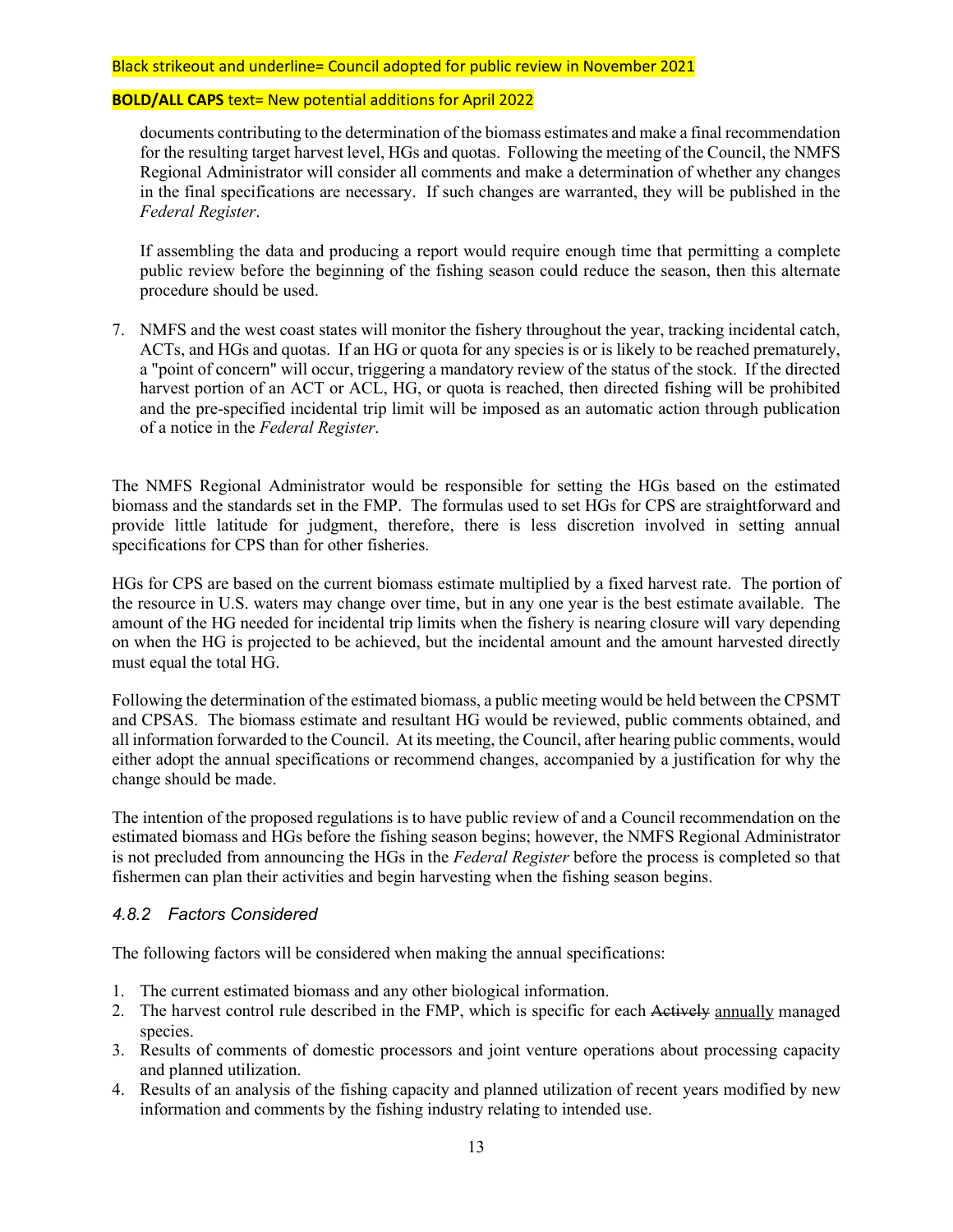#### **BOLD/ALL CAPS** text= New potential additions for April 2022

documents contributing to the determination of the biomass estimates and make a final recommendation for the resulting target harvest level, HGs and quotas. Following the meeting of the Council, the NMFS Regional Administrator will consider all comments and make a determination of whether any changes in the final specifications are necessary. If such changes are warranted, they will be published in the *Federal Register*.

If assembling the data and producing a report would require enough time that permitting a complete public review before the beginning of the fishing season could reduce the season, then this alternate procedure should be used.

7. NMFS and the west coast states will monitor the fishery throughout the year, tracking incidental catch, ACTs, and HGs and quotas. If an HG or quota for any species is or is likely to be reached prematurely, a "point of concern" will occur, triggering a mandatory review of the status of the stock. If the directed harvest portion of an ACT or ACL, HG, or quota is reached, then directed fishing will be prohibited and the pre-specified incidental trip limit will be imposed as an automatic action through publication of a notice in the *Federal Register*.

The NMFS Regional Administrator would be responsible for setting the HGs based on the estimated biomass and the standards set in the FMP. The formulas used to set HGs for CPS are straightforward and provide little latitude for judgment, therefore, there is less discretion involved in setting annual specifications for CPS than for other fisheries.

HGs for CPS are based on the current biomass estimate multiplied by a fixed harvest rate. The portion of the resource in U.S. waters may change over time, but in any one year is the best estimate available. The amount of the HG needed for incidental trip limits when the fishery is nearing closure will vary depending on when the HG is projected to be achieved, but the incidental amount and the amount harvested directly must equal the total HG.

Following the determination of the estimated biomass, a public meeting would be held between the CPSMT and CPSAS. The biomass estimate and resultant HG would be reviewed, public comments obtained, and all information forwarded to the Council. At its meeting, the Council, after hearing public comments, would either adopt the annual specifications or recommend changes, accompanied by a justification for why the change should be made.

The intention of the proposed regulations is to have public review of and a Council recommendation on the estimated biomass and HGs before the fishing season begins; however, the NMFS Regional Administrator is not precluded from announcing the HGs in the *Federal Register* before the process is completed so that fishermen can plan their activities and begin harvesting when the fishing season begins.

## *4.8.2 Factors Considered*

The following factors will be considered when making the annual specifications:

- 1. The current estimated biomass and any other biological information.
- 2. The harvest control rule described in the FMP, which is specific for each Actively annually managed species.
- 3. Results of comments of domestic processors and joint venture operations about processing capacity and planned utilization.
- 4. Results of an analysis of the fishing capacity and planned utilization of recent years modified by new information and comments by the fishing industry relating to intended use.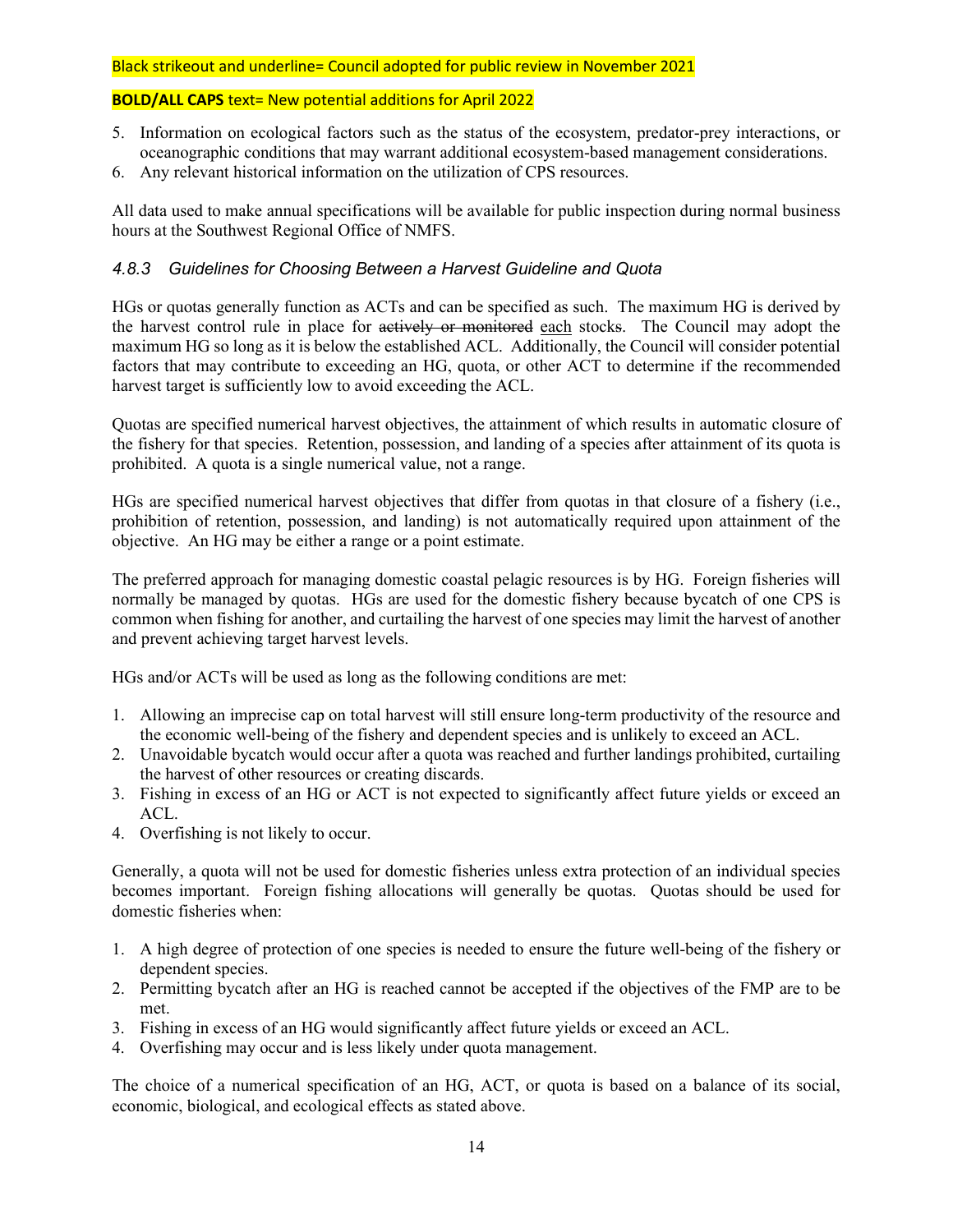### **BOLD/ALL CAPS** text= New potential additions for April 2022

- 5. Information on ecological factors such as the status of the ecosystem, predator-prey interactions, or oceanographic conditions that may warrant additional ecosystem-based management considerations.
- 6. Any relevant historical information on the utilization of CPS resources.

All data used to make annual specifications will be available for public inspection during normal business hours at the Southwest Regional Office of NMFS.

## *4.8.3 Guidelines for Choosing Between a Harvest Guideline and Quota*

HGs or quotas generally function as ACTs and can be specified as such. The maximum HG is derived by the harvest control rule in place for actively or monitored each stocks. The Council may adopt the maximum HG so long as it is below the established ACL. Additionally, the Council will consider potential factors that may contribute to exceeding an HG, quota, or other ACT to determine if the recommended harvest target is sufficiently low to avoid exceeding the ACL.

Quotas are specified numerical harvest objectives, the attainment of which results in automatic closure of the fishery for that species. Retention, possession, and landing of a species after attainment of its quota is prohibited. A quota is a single numerical value, not a range.

HGs are specified numerical harvest objectives that differ from quotas in that closure of a fishery (i.e., prohibition of retention, possession, and landing) is not automatically required upon attainment of the objective. An HG may be either a range or a point estimate.

The preferred approach for managing domestic coastal pelagic resources is by HG. Foreign fisheries will normally be managed by quotas. HGs are used for the domestic fishery because bycatch of one CPS is common when fishing for another, and curtailing the harvest of one species may limit the harvest of another and prevent achieving target harvest levels.

HGs and/or ACTs will be used as long as the following conditions are met:

- 1. Allowing an imprecise cap on total harvest will still ensure long-term productivity of the resource and the economic well-being of the fishery and dependent species and is unlikely to exceed an ACL.
- 2. Unavoidable bycatch would occur after a quota was reached and further landings prohibited, curtailing the harvest of other resources or creating discards.
- 3. Fishing in excess of an HG or ACT is not expected to significantly affect future yields or exceed an ACL.
- 4. Overfishing is not likely to occur.

Generally, a quota will not be used for domestic fisheries unless extra protection of an individual species becomes important. Foreign fishing allocations will generally be quotas. Quotas should be used for domestic fisheries when:

- 1. A high degree of protection of one species is needed to ensure the future well-being of the fishery or dependent species.
- 2. Permitting bycatch after an HG is reached cannot be accepted if the objectives of the FMP are to be met.
- 3. Fishing in excess of an HG would significantly affect future yields or exceed an ACL.
- 4. Overfishing may occur and is less likely under quota management.

The choice of a numerical specification of an HG, ACT, or quota is based on a balance of its social, economic, biological, and ecological effects as stated above.